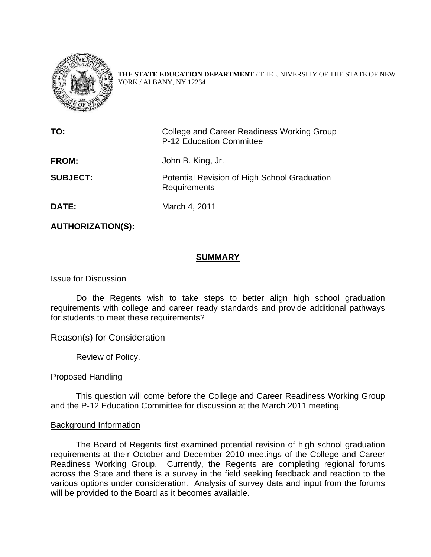

**THE STATE EDUCATION DEPARTMENT** / THE UNIVERSITY OF THE STATE OF NEW YORK / ALBANY, NY 12234

| TO:             | College and Career Readiness Working Group<br>P-12 Education Committee |
|-----------------|------------------------------------------------------------------------|
| <b>FROM:</b>    | John B. King, Jr.                                                      |
| <b>SUBJECT:</b> | Potential Revision of High School Graduation<br>Requirements           |
| <b>DATE:</b>    | March 4, 2011                                                          |

**AUTHORIZATION(S):** 

#### **SUMMARY**

#### Issue for Discussion

Do the Regents wish to take steps to better align high school graduation requirements with college and career ready standards and provide additional pathways for students to meet these requirements?

#### Reason(s) for Consideration

Review of Policy.

#### Proposed Handling

This question will come before the College and Career Readiness Working Group and the P-12 Education Committee for discussion at the March 2011 meeting.

#### Background Information

The Board of Regents first examined potential revision of high school graduation requirements at their October and December 2010 meetings of the College and Career Readiness Working Group. Currently, the Regents are completing regional forums across the State and there is a survey in the field seeking feedback and reaction to the various options under consideration. Analysis of survey data and input from the forums will be provided to the Board as it becomes available.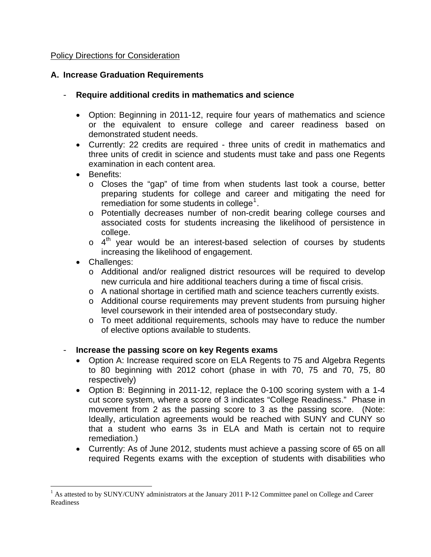## Policy Directions for Consideration

## **A. Increase Graduation Requirements**

- **Require additional credits in mathematics and science** 
	- Option: Beginning in 2011-12, require four years of mathematics and science or the equivalent to ensure college and career readiness based on demonstrated student needs.
	- Currently: 22 credits are required three units of credit in mathematics and three units of credit in science and students must take and pass one Regents examination in each content area.
	- Benefits:
		- o Closes the "gap" of time from when students last took a course, better preparing students for college and career and mitigating the need for remediation for some students in college<sup>[1](#page-1-0)</sup>.
		- o Potentially decreases number of non-credit bearing college courses and associated costs for students increasing the likelihood of persistence in college.
		- $\circ$  4<sup>th</sup> year would be an interest-based selection of courses by students increasing the likelihood of engagement.
	- Challenges:

 $\overline{a}$ 

- o Additional and/or realigned district resources will be required to develop new curricula and hire additional teachers during a time of fiscal crisis.
- o A national shortage in certified math and science teachers currently exists.
- o Additional course requirements may prevent students from pursuing higher level coursework in their intended area of postsecondary study.
- o To meet additional requirements, schools may have to reduce the number of elective options available to students.

### - **Increase the passing score on key Regents exams**

- Option A: Increase required score on ELA Regents to 75 and Algebra Regents to 80 beginning with 2012 cohort (phase in with 70, 75 and 70, 75, 80 respectively)
- Option B: Beginning in 2011-12, replace the 0-100 scoring system with a 1-4 cut score system, where a score of 3 indicates "College Readiness." Phase in movement from 2 as the passing score to 3 as the passing score. (Note: Ideally, articulation agreements would be reached with SUNY and CUNY so that a student who earns 3s in ELA and Math is certain not to require remediation.)
- Currently: As of June 2012, students must achieve a passing score of 65 on all required Regents exams with the exception of students with disabilities who

<span id="page-1-0"></span><sup>&</sup>lt;sup>1</sup> As attested to by SUNY/CUNY administrators at the January 2011 P-12 Committee panel on College and Career Readiness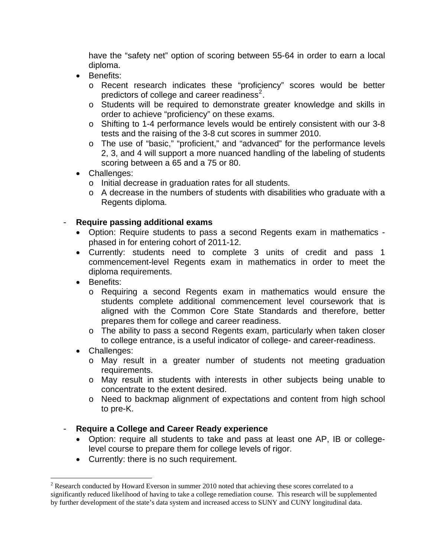have the "safety net" option of scoring between 55-64 in order to earn a local diploma.

- Benefits:
	- o Recent research indicates these "proficiency" scores would be better predictors of college and career readiness<sup>[2](#page-2-0)</sup>.
	- o Students will be required to demonstrate greater knowledge and skills in order to achieve "proficiency" on these exams.
	- o Shifting to 1-4 performance levels would be entirely consistent with our 3-8 tests and the raising of the 3-8 cut scores in summer 2010.
	- o The use of "basic," "proficient," and "advanced" for the performance levels 2, 3, and 4 will support a more nuanced handling of the labeling of students scoring between a 65 and a 75 or 80.
- Challenges:
	- o Initial decrease in graduation rates for all students.
	- o A decrease in the numbers of students with disabilities who graduate with a Regents diploma.

## - **Require passing additional exams**

- Option: Require students to pass a second Regents exam in mathematics phased in for entering cohort of 2011-12.
- Currently: students need to complete 3 units of credit and pass 1 commencement-level Regents exam in mathematics in order to meet the diploma requirements.
- Benefits:
	- o Requiring a second Regents exam in mathematics would ensure the students complete additional commencement level coursework that is aligned with the Common Core State Standards and therefore, better prepares them for college and career readiness.
	- o The ability to pass a second Regents exam, particularly when taken closer to college entrance, is a useful indicator of college- and career-readiness.
- Challenges:

 $\overline{a}$ 

- o May result in a greater number of students not meeting graduation requirements.
- o May result in students with interests in other subjects being unable to concentrate to the extent desired.
- o Need to backmap alignment of expectations and content from high school to pre-K.

### - **Require a College and Career Ready experience**

- Option: require all students to take and pass at least one AP, IB or collegelevel course to prepare them for college levels of rigor.
- Currently: there is no such requirement.

<span id="page-2-0"></span> $2^2$  Research conducted by Howard Everson in summer 2010 noted that achieving these scores correlated to a significantly reduced likelihood of having to take a college remediation course. This research will be supplemented by further development of the state's data system and increased access to SUNY and CUNY longitudinal data.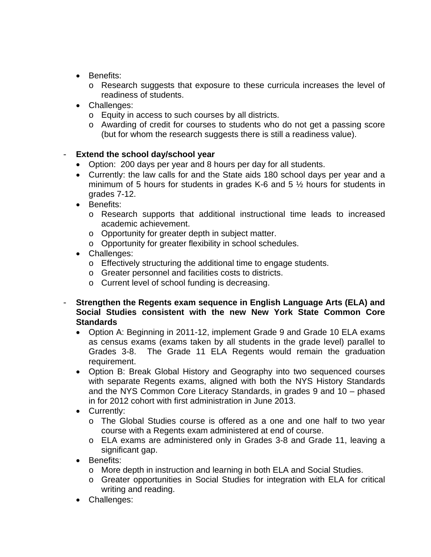- Benefits:
	- o Research suggests that exposure to these curricula increases the level of readiness of students.
- Challenges:
	- o Equity in access to such courses by all districts.
	- o Awarding of credit for courses to students who do not get a passing score (but for whom the research suggests there is still a readiness value).

# **Extend the school day/school year**

- Option: 200 days per year and 8 hours per day for all students.
- Currently: the law calls for and the State aids 180 school days per year and a minimum of 5 hours for students in grades K-6 and 5 ½ hours for students in grades 7-12.
- Benefits:
	- o Research supports that additional instructional time leads to increased academic achievement.
	- o Opportunity for greater depth in subject matter.
	- o Opportunity for greater flexibility in school schedules.
- Challenges:
	- o Effectively structuring the additional time to engage students.
	- o Greater personnel and facilities costs to districts.
	- o Current level of school funding is decreasing.
- **Strengthen the Regents exam sequence in English Language Arts (ELA) and Social Studies consistent with the new New York State Common Core Standards**
	- Option A: Beginning in 2011-12, implement Grade 9 and Grade 10 ELA exams as census exams (exams taken by all students in the grade level) parallel to Grades 3-8. The Grade 11 ELA Regents would remain the graduation requirement.
	- Option B: Break Global History and Geography into two sequenced courses with separate Regents exams, aligned with both the NYS History Standards and the NYS Common Core Literacy Standards, in grades 9 and 10 – phased in for 2012 cohort with first administration in June 2013.
	- Currently:
		- o The Global Studies course is offered as a one and one half to two year course with a Regents exam administered at end of course.
		- o ELA exams are administered only in Grades 3-8 and Grade 11, leaving a significant gap.
	- Benefits:
		- o More depth in instruction and learning in both ELA and Social Studies.
		- o Greater opportunities in Social Studies for integration with ELA for critical writing and reading.
	- Challenges: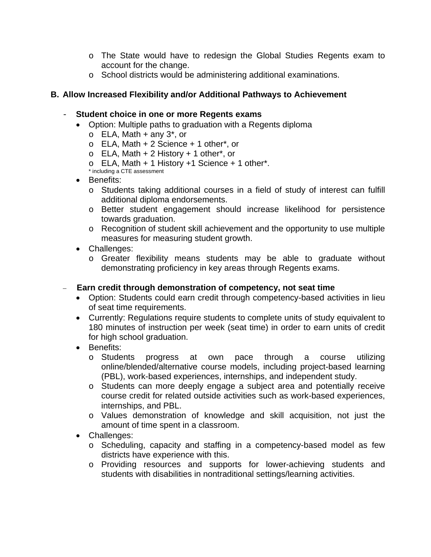- o The State would have to redesign the Global Studies Regents exam to account for the change.
- o School districts would be administering additional examinations.

## **B. Allow Increased Flexibility and/or Additional Pathways to Achievement**

### - **Student choice in one or more Regents exams**

- Option: Multiple paths to graduation with a Regents diploma
	- $\circ$  ELA, Math + any 3<sup>\*</sup>, or
	- $\circ$  ELA, Math + 2 Science + 1 other\*, or
	- $\circ$  ELA, Math + 2 History + 1 other\*, or
	- $\circ$  ELA, Math + 1 History +1 Science + 1 other\*.
	- \* including a CTE assessment
- Benefits:
	- o Students taking additional courses in a field of study of interest can fulfill additional diploma endorsements.
	- o Better student engagement should increase likelihood for persistence towards graduation.
	- o Recognition of student skill achievement and the opportunity to use multiple measures for measuring student growth.
- Challenges:
	- o Greater flexibility means students may be able to graduate without demonstrating proficiency in key areas through Regents exams.

# **Earn credit through demonstration of competency, not seat time**

- Option: Students could earn credit through competency-based activities in lieu of seat time requirements.
- Currently: Regulations require students to complete units of study equivalent to 180 minutes of instruction per week (seat time) in order to earn units of credit for high school graduation.
- Benefits:
	- o Students progress at own pace through a course utilizing online/blended/alternative course models, including project-based learning (PBL), work-based experiences, internships, and independent study.
	- o Students can more deeply engage a subject area and potentially receive course credit for related outside activities such as work-based experiences, internships, and PBL.
	- o Values demonstration of knowledge and skill acquisition, not just the amount of time spent in a classroom.
- Challenges:
	- o Scheduling, capacity and staffing in a competency-based model as few districts have experience with this.
	- o Providing resources and supports for lower-achieving students and students with disabilities in nontraditional settings/learning activities.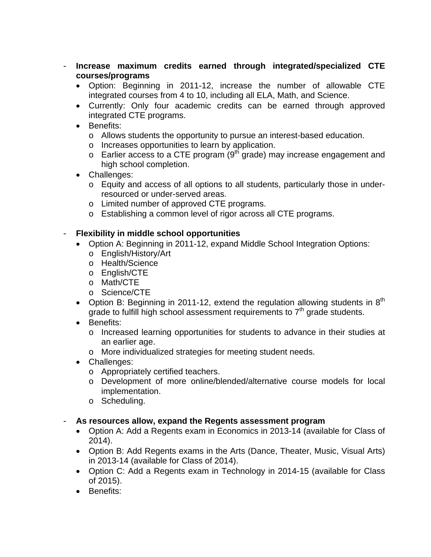- **Increase maximum credits earned through integrated/specialized CTE courses/programs**
	- Option: Beginning in 2011-12, increase the number of allowable CTE integrated courses from 4 to 10, including all ELA, Math, and Science.
	- Currently: Only four academic credits can be earned through approved integrated CTE programs.
	- Benefits:
		- o Allows students the opportunity to pursue an interest-based education.
		- o Increases opportunities to learn by application.
		- $\circ$  Earlier access to a CTE program (9<sup>th</sup> grade) may increase engagement and high school completion.
	- Challenges:
		- o Equity and access of all options to all students, particularly those in underresourced or under-served areas.
		- o Limited number of approved CTE programs.
		- o Establishing a common level of rigor across all CTE programs.

# - **Flexibility in middle school opportunities**

- Option A: Beginning in 2011-12, expand Middle School Integration Options:
	- o English/History/Art
	- o Health/Science
	- o English/CTE
	- o Math/CTE
	- o Science/CTE
- Option B: Beginning in 2011-12, extend the regulation allowing students in  $8<sup>th</sup>$ grade to fulfill high school assessment requirements to  $7<sup>th</sup>$  grade students.
- Benefits:
	- o Increased learning opportunities for students to advance in their studies at an earlier age.
	- o More individualized strategies for meeting student needs.
- Challenges:
	- o Appropriately certified teachers.
	- o Development of more online/blended/alternative course models for local implementation.
	- o Scheduling.

# - **As resources allow, expand the Regents assessment program**

- Option A: Add a Regents exam in Economics in 2013-14 (available for Class of 2014).
- Option B: Add Regents exams in the Arts (Dance, Theater, Music, Visual Arts) in 2013-14 (available for Class of 2014).
- Option C: Add a Regents exam in Technology in 2014-15 (available for Class of 2015).
- Benefits: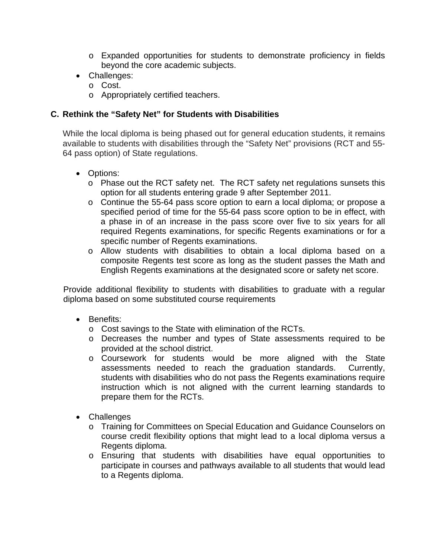- o Expanded opportunities for students to demonstrate proficiency in fields beyond the core academic subjects.
- Challenges:
	- o Cost.
	- o Appropriately certified teachers.

# **C. Rethink the "Safety Net" for Students with Disabilities**

While the local diploma is being phased out for general education students, it remains available to students with disabilities through the "Safety Net" provisions (RCT and 55- 64 pass option) of State regulations.

- Options:
	- o Phase out the RCT safety net. The RCT safety net regulations sunsets this option for all students entering grade 9 after September 2011.
	- o Continue the 55-64 pass score option to earn a local diploma; or propose a specified period of time for the 55-64 pass score option to be in effect, with a phase in of an increase in the pass score over five to six years for all required Regents examinations, for specific Regents examinations or for a specific number of Regents examinations.
	- o Allow students with disabilities to obtain a local diploma based on a composite Regents test score as long as the student passes the Math and English Regents examinations at the designated score or safety net score.

Provide additional flexibility to students with disabilities to graduate with a regular diploma based on some substituted course requirements

- Benefits:
	- o Cost savings to the State with elimination of the RCTs.
	- o Decreases the number and types of State assessments required to be provided at the school district.
	- o Coursework for students would be more aligned with the State assessments needed to reach the graduation standards. Currently, assessments needed to reach the graduation standards. students with disabilities who do not pass the Regents examinations require instruction which is not aligned with the current learning standards to prepare them for the RCTs.
- Challenges
	- o Training for Committees on Special Education and Guidance Counselors on course credit flexibility options that might lead to a local diploma versus a Regents diploma.
	- o Ensuring that students with disabilities have equal opportunities to participate in courses and pathways available to all students that would lead to a Regents diploma.